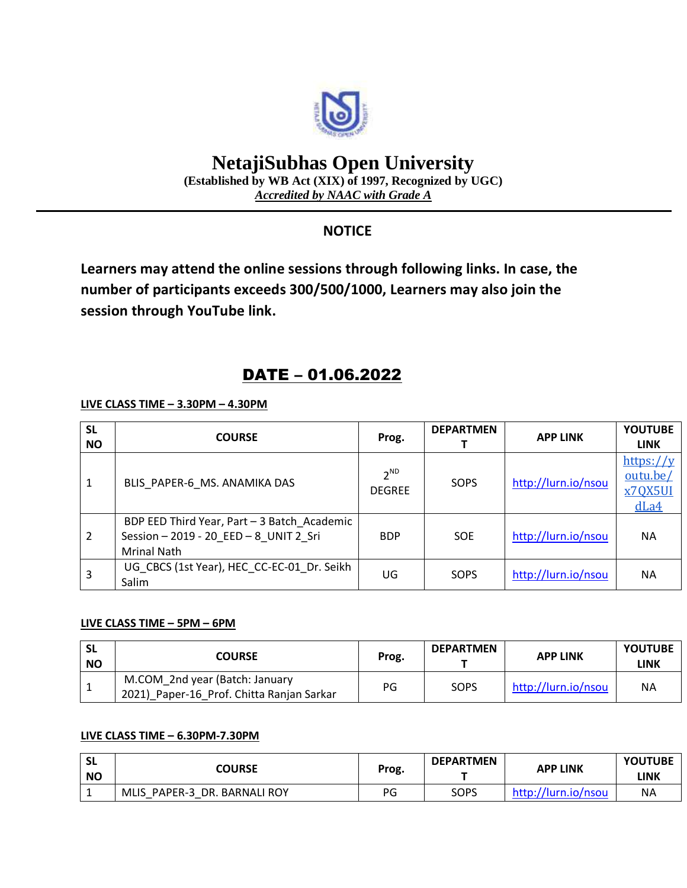

# **NetajiSubhas Open University**

**(Established by WB Act (XIX) of 1997, Recognized by UGC)** *Accredited by NAAC with Grade A*

### **NOTICE**

**Learners may attend the online sessions through following links. In case, the number of participants exceeds 300/500/1000, Learners may also join the session through YouTube link.**

## DATE – 01.06.2022

**LIVE CLASS TIME – 3.30PM – 4.30PM**

| <b>SL</b><br><b>NO</b> | <b>COURSE</b>                                                                                           | Prog.                     | <b>DEPARTMEN</b> | <b>APP LINK</b>     | <b>YOUTUBE</b><br><b>LINK</b>            |
|------------------------|---------------------------------------------------------------------------------------------------------|---------------------------|------------------|---------------------|------------------------------------------|
|                        | BLIS PAPER-6 MS. ANAMIKA DAS                                                                            | $2^{ND}$<br><b>DEGREE</b> | SOPS             | http://lurn.io/nsou | https://y<br>outu.be/<br>x7QX5UI<br>dLa4 |
| 2                      | BDP EED Third Year, Part - 3 Batch Academic<br>Session-2019 - 20 EED-8 UNIT 2 Sri<br><b>Mrinal Nath</b> | <b>BDP</b>                | <b>SOE</b>       | http://lurn.io/nsou | <b>NA</b>                                |
| 3                      | UG CBCS (1st Year), HEC CC-EC-01 Dr. Seikh<br>Salim                                                     | UG                        | SOPS             | http://lurn.io/nsou | <b>NA</b>                                |

#### **LIVE CLASS TIME – 5PM – 6PM**

| -SL<br><b>NO</b> | <b>COURSE</b>                                                               | Prog. | <b>DEPARTMEN</b> | <b>APP LINK</b>     | YOUTUBE<br>LINK |
|------------------|-----------------------------------------------------------------------------|-------|------------------|---------------------|-----------------|
|                  | M.COM 2nd year (Batch: January<br>2021) Paper-16 Prof. Chitta Ranjan Sarkar | PG    | SOPS             | http://lurn.io/nsou | ΝA              |

#### **LIVE CLASS TIME – 6.30PM-7.30PM**

| <b>SL</b><br><b>NO</b> | <b>COURSE</b>                          | Prog. | <b>DEPARTMEN</b> | <b>APP LINK</b>     | <b>YOUTUBE</b><br>LINK |
|------------------------|----------------------------------------|-------|------------------|---------------------|------------------------|
|                        | PAPER-3 DR. BARNALI ROY<br><b>MLIS</b> | PG    | SOPS             | http://lurn.io/nsou | <b>NA</b>              |